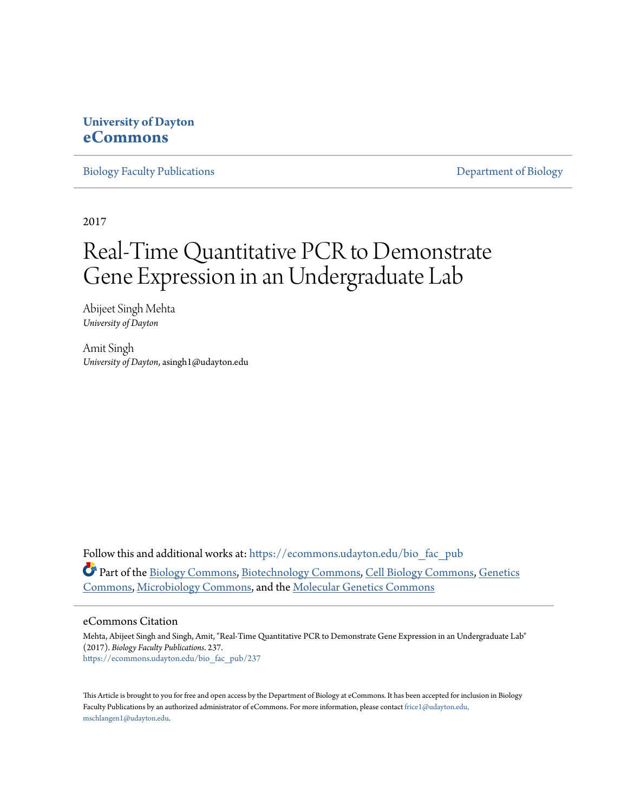## **University of Dayton [eCommons](https://ecommons.udayton.edu?utm_source=ecommons.udayton.edu%2Fbio_fac_pub%2F237&utm_medium=PDF&utm_campaign=PDFCoverPages)**

[Biology Faculty Publications](https://ecommons.udayton.edu/bio_fac_pub?utm_source=ecommons.udayton.edu%2Fbio_fac_pub%2F237&utm_medium=PDF&utm_campaign=PDFCoverPages) [Department of Biology](https://ecommons.udayton.edu/bio?utm_source=ecommons.udayton.edu%2Fbio_fac_pub%2F237&utm_medium=PDF&utm_campaign=PDFCoverPages)

2017

# Real-Time Quantitative PCR to Demonstrate Gene Expression in an Undergraduate Lab

Abijeet Singh Mehta *University of Dayton*

Amit Singh *University of Dayton*, asingh1@udayton.edu

Follow this and additional works at: [https://ecommons.udayton.edu/bio\\_fac\\_pub](https://ecommons.udayton.edu/bio_fac_pub?utm_source=ecommons.udayton.edu%2Fbio_fac_pub%2F237&utm_medium=PDF&utm_campaign=PDFCoverPages) Part of the [Biology Commons,](http://network.bepress.com/hgg/discipline/41?utm_source=ecommons.udayton.edu%2Fbio_fac_pub%2F237&utm_medium=PDF&utm_campaign=PDFCoverPages) [Biotechnology Commons,](http://network.bepress.com/hgg/discipline/111?utm_source=ecommons.udayton.edu%2Fbio_fac_pub%2F237&utm_medium=PDF&utm_campaign=PDFCoverPages) [Cell Biology Commons](http://network.bepress.com/hgg/discipline/10?utm_source=ecommons.udayton.edu%2Fbio_fac_pub%2F237&utm_medium=PDF&utm_campaign=PDFCoverPages), [Genetics](http://network.bepress.com/hgg/discipline/29?utm_source=ecommons.udayton.edu%2Fbio_fac_pub%2F237&utm_medium=PDF&utm_campaign=PDFCoverPages) [Commons,](http://network.bepress.com/hgg/discipline/29?utm_source=ecommons.udayton.edu%2Fbio_fac_pub%2F237&utm_medium=PDF&utm_campaign=PDFCoverPages) [Microbiology Commons](http://network.bepress.com/hgg/discipline/48?utm_source=ecommons.udayton.edu%2Fbio_fac_pub%2F237&utm_medium=PDF&utm_campaign=PDFCoverPages), and the [Molecular Genetics Commons](http://network.bepress.com/hgg/discipline/31?utm_source=ecommons.udayton.edu%2Fbio_fac_pub%2F237&utm_medium=PDF&utm_campaign=PDFCoverPages)

#### eCommons Citation

Mehta, Abijeet Singh and Singh, Amit, "Real-Time Quantitative PCR to Demonstrate Gene Expression in an Undergraduate Lab" (2017). *Biology Faculty Publications*. 237. [https://ecommons.udayton.edu/bio\\_fac\\_pub/237](https://ecommons.udayton.edu/bio_fac_pub/237?utm_source=ecommons.udayton.edu%2Fbio_fac_pub%2F237&utm_medium=PDF&utm_campaign=PDFCoverPages)

This Article is brought to you for free and open access by the Department of Biology at eCommons. It has been accepted for inclusion in Biology Faculty Publications by an authorized administrator of eCommons. For more information, please contact [frice1@udayton.edu,](mailto:frice1@udayton.edu,%20mschlangen1@udayton.edu) [mschlangen1@udayton.edu.](mailto:frice1@udayton.edu,%20mschlangen1@udayton.edu)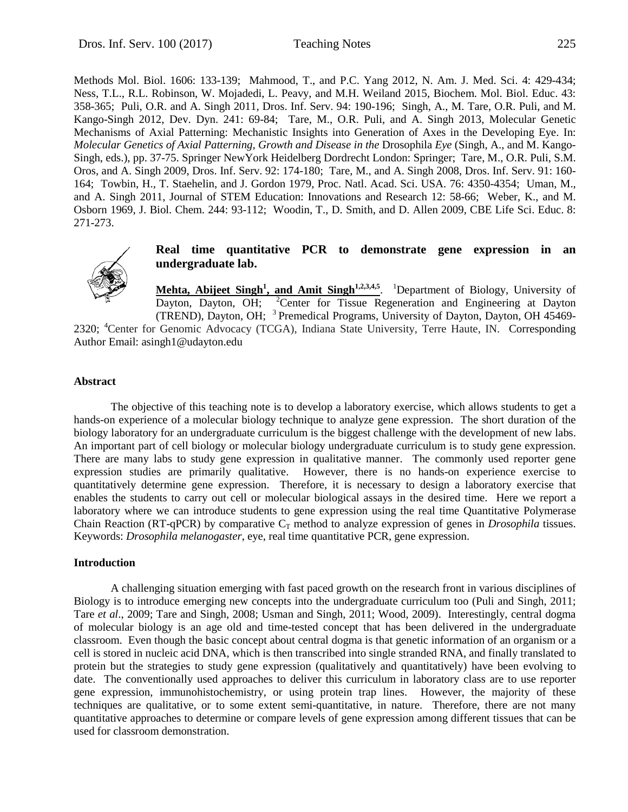Methods Mol. Biol. 1606: 133-139; Mahmood, T., and P.C. Yang 2012, N. Am. J. Med. Sci. 4: 429-434; Ness, T.L., R.L. Robinson, W. Mojadedi, L. Peavy, and M.H. Weiland 2015, Biochem. Mol. Biol. Educ. 43: 358-365; Puli, O.R. and A. Singh 2011, Dros. Inf. Serv. 94: 190-196; Singh, A., M. Tare, O.R. Puli, and M. Kango-Singh 2012, Dev. Dyn. 241: 69-84; Tare, M., O.R. Puli, and A. Singh 2013, Molecular Genetic Mechanisms of Axial Patterning: Mechanistic Insights into Generation of Axes in the Developing Eye. In: *Molecular Genetics of Axial Patterning, Growth and Disease in the* Drosophila *Eye* (Singh, A., and M. Kango-Singh, eds.), pp. 37-75. Springer NewYork Heidelberg Dordrecht London: Springer; Tare, M., O.R. Puli, S.M. Oros, and A. Singh 2009, Dros. Inf. Serv. 92: 174-180; Tare, M., and A. Singh 2008, Dros. Inf. Serv. 91: 160- 164; Towbin, H., T. Staehelin, and J. Gordon 1979, Proc. Natl. Acad. Sci. USA. 76: 4350-4354; Uman, M., and A. Singh 2011, Journal of STEM Education: Innovations and Research 12: 58-66; Weber, K., and M. Osborn 1969, J. Biol. Chem. 244: 93-112; Woodin, T., D. Smith, and D. Allen 2009, CBE Life Sci. Educ. 8: 271-273.



#### **Real time quantitative PCR to demonstrate gene expression in an undergraduate lab.**

Mehta, Abijeet Singh<sup>1</sup>, and Amit Singh<sup>1,2,3,4,5</sup>. <sup>1</sup>Department of Biology, University of Dayton, Dayton, OH; <sup>2</sup>Center for Tissue Regeneration and Engineering at Dayton (TREND), Dayton, OH; 3 Premedical Programs, University of Dayton, Dayton, OH 45469-

2320; <sup>4</sup>Center for Genomic Advocacy (TCGA), Indiana State University, Terre Haute, IN. Corresponding Author Email: asingh1@udayton.edu

#### **Abstract**

The objective of this teaching note is to develop a laboratory exercise, which allows students to get a hands-on experience of a molecular biology technique to analyze gene expression. The short duration of the biology laboratory for an undergraduate curriculum is the biggest challenge with the development of new labs. An important part of cell biology or molecular biology undergraduate curriculum is to study gene expression. There are many labs to study gene expression in qualitative manner. The commonly used reporter gene expression studies are primarily qualitative. However, there is no hands-on experience exercise to quantitatively determine gene expression. Therefore, it is necessary to design a laboratory exercise that enables the students to carry out cell or molecular biological assays in the desired time. Here we report a laboratory where we can introduce students to gene expression using the real time Quantitative Polymerase Chain Reaction (RT-qPCR) by comparative  $C_T$  method to analyze expression of genes in *Drosophila* tissues. Keywords: *Drosophila melanogaster*, eye, real time quantitative PCR, gene expression.

#### **Introduction**

A challenging situation emerging with fast paced growth on the research front in various disciplines of Biology is to introduce emerging new concepts into the undergraduate curriculum too (Puli and Singh, 2011; Tare *et al*., 2009; Tare and Singh, 2008; Usman and Singh, 2011; Wood, 2009). Interestingly, central dogma of molecular biology is an age old and time-tested concept that has been delivered in the undergraduate classroom. Even though the basic concept about central dogma is that genetic information of an organism or a cell is stored in nucleic acid DNA, which is then transcribed into single stranded RNA, and finally translated to protein but the strategies to study gene expression (qualitatively and quantitatively) have been evolving to date. The conventionally used approaches to deliver this curriculum in laboratory class are to use reporter gene expression, immunohistochemistry, or using protein trap lines. However, the majority of these techniques are qualitative, or to some extent semi-quantitative, in nature. Therefore, there are not many quantitative approaches to determine or compare levels of gene expression among different tissues that can be used for classroom demonstration.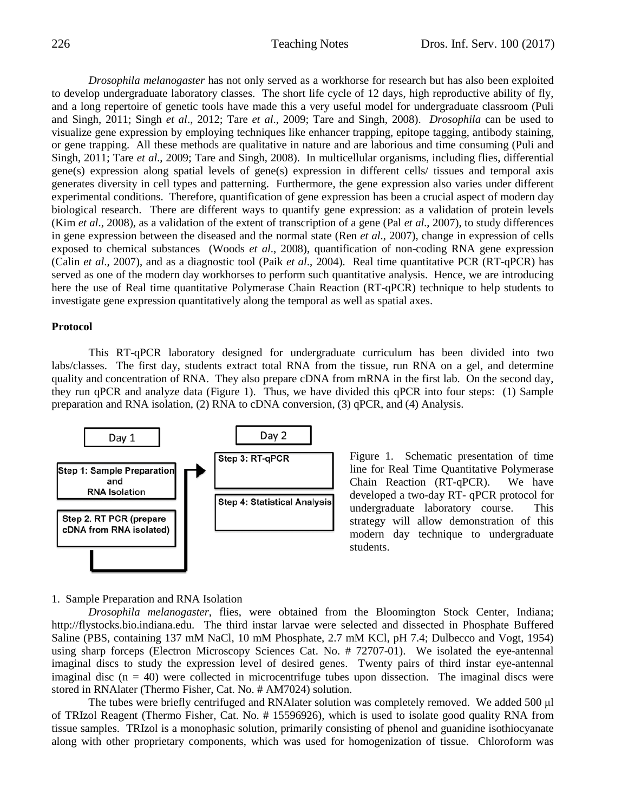*Drosophila melanogaster* has not only served as a workhorse for research but has also been exploited to develop undergraduate laboratory classes. The short life cycle of 12 days, high reproductive ability of fly, and a long repertoire of genetic tools have made this a very useful model for undergraduate classroom (Puli and Singh, 2011; Singh *et al*., 2012; Tare *et al*., 2009; Tare and Singh, 2008). *Drosophila* can be used to visualize gene expression by employing techniques like enhancer trapping, epitope tagging, antibody staining, or gene trapping. All these methods are qualitative in nature and are laborious and time consuming (Puli and Singh, 2011; Tare *et al*., 2009; Tare and Singh, 2008). In multicellular organisms, including flies, differential gene(s) expression along spatial levels of gene(s) expression in different cells/ tissues and temporal axis generates diversity in cell types and patterning. Furthermore, the gene expression also varies under different experimental conditions. Therefore, quantification of gene expression has been a crucial aspect of modern day biological research. There are different ways to quantify gene expression: as a validation of protein levels (Kim *et al*., 2008), as a validation of the extent of transcription of a gene (Pal *et al*., 2007), to study differences in gene expression between the diseased and the normal state (Ren *et al*., 2007), change in expression of cells exposed to chemical substances (Woods *et al*., 2008), quantification of non-coding RNA gene expression (Calin *et al*., 2007), and as a diagnostic tool (Paik *et al*., 2004). Real time quantitative PCR (RT-qPCR) has served as one of the modern day workhorses to perform such quantitative analysis. Hence, we are introducing here the use of Real time quantitative Polymerase Chain Reaction (RT-qPCR) technique to help students to investigate gene expression quantitatively along the temporal as well as spatial axes.

#### **Protocol**

This RT-qPCR laboratory designed for undergraduate curriculum has been divided into two labs/classes. The first day, students extract total RNA from the tissue, run RNA on a gel, and determine quality and concentration of RNA. They also prepare cDNA from mRNA in the first lab. On the second day, they run qPCR and analyze data (Figure 1). Thus, we have divided this qPCR into four steps: (1) Sample preparation and RNA isolation, (2) RNA to cDNA conversion, (3) qPCR, and (4) Analysis.



Figure 1. Schematic presentation of time line for Real Time Quantitative Polymerase Chain Reaction (RT-qPCR). We have developed a two-day RT- qPCR protocol for undergraduate laboratory course. This strategy will allow demonstration of this modern day technique to undergraduate students.

#### 1. Sample Preparation and RNA Isolation

*Drosophila melanogaster*, flies, were obtained from the Bloomington Stock Center, Indiana; http://flystocks.bio.indiana.edu. The third instar larvae were selected and dissected in Phosphate Buffered Saline (PBS, containing 137 mM NaCl, 10 mM Phosphate, 2.7 mM KCl, pH 7.4; Dulbecco and Vogt, 1954) using sharp forceps (Electron Microscopy Sciences Cat. No. # 72707-01). We isolated the eye-antennal imaginal discs to study the expression level of desired genes. Twenty pairs of third instar eye-antennal imaginal disc  $(n = 40)$  were collected in microcentrifuge tubes upon dissection. The imaginal discs were stored in RNAlater (Thermo Fisher, Cat. No. # AM7024) solution.

The tubes were briefly centrifuged and RNAlater solution was completely removed. We added 500 μl of TRIzol Reagent (Thermo Fisher, Cat. No. # 15596926), which is used to isolate good quality RNA from tissue samples. TRIzol is a monophasic solution, primarily consisting of phenol and guanidine isothiocyanate along with other proprietary components, which was used for homogenization of tissue. Chloroform was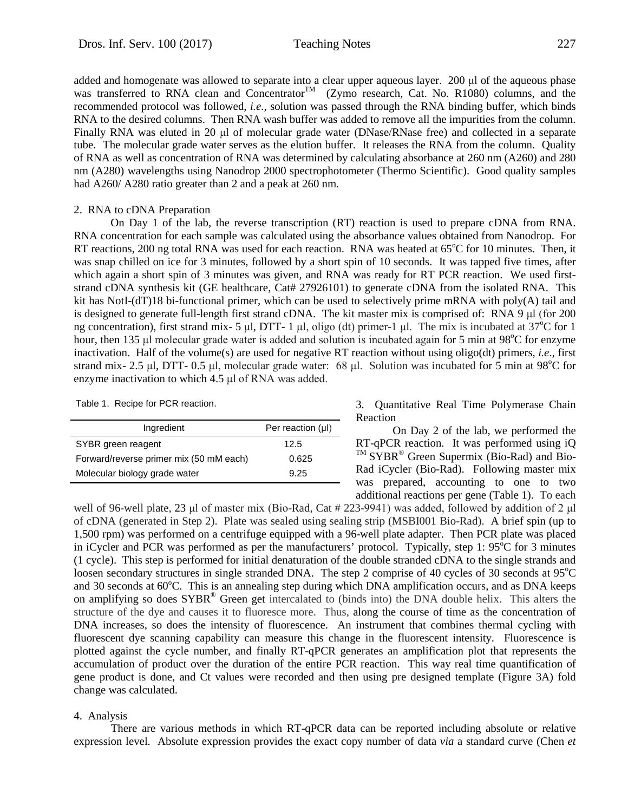added and homogenate was allowed to separate into a clear upper aqueous layer. 200 μl of the aqueous phase was transferred to RNA clean and Concentrator<sup>TM</sup> (Zymo research, Cat. No. R1080) columns, and the recommended protocol was followed, *i.e.,* solution was passed through the RNA binding buffer, which binds RNA to the desired columns. Then RNA wash buffer was added to remove all the impurities from the column. Finally RNA was eluted in 20 μl of molecular grade water (DNase/RNase free) and collected in a separate tube. The molecular grade water serves as the elution buffer. It releases the RNA from the column. Quality of RNA as well as concentration of RNA was determined by calculating absorbance at 260 nm (A260) and 280 nm (A280) wavelengths using Nanodrop 2000 spectrophotometer (Thermo Scientific). Good quality samples had A260/ A280 ratio greater than 2 and a peak at 260 nm.

#### 2. RNA to cDNA Preparation

On Day 1 of the lab, the reverse transcription (RT) reaction is used to prepare cDNA from RNA. RNA concentration for each sample was calculated using the absorbance values obtained from Nanodrop. For RT reactions, 200 ng total RNA was used for each reaction. RNA was heated at 65°C for 10 minutes. Then, it was snap chilled on ice for 3 minutes, followed by a short spin of 10 seconds. It was tapped five times, after which again a short spin of 3 minutes was given, and RNA was ready for RT PCR reaction. We used firststrand cDNA synthesis kit (GE healthcare, Cat# 27926101) to generate cDNA from the isolated RNA. This kit has NotI-(dT)18 bi-functional primer, which can be used to selectively prime mRNA with poly(A) tail and is designed to generate full-length first strand cDNA. The kit master mix is comprised of: RNA 9 μl (for 200 ng concentration), first strand mix- 5 μl, DTT- 1 μl, oligo (dt) primer-1 μl. The mix is incubated at  $37^{\circ}$ C for 1 hour, then 135 μl molecular grade water is added and solution is incubated again for 5 min at 98°C for enzyme inactivation. Half of the volume(s) are used for negative RT reaction without using oligo(dt) primers, *i.e*., first strand mix- 2.5 μl, DTT- 0.5 μl, molecular grade water: 68 μl. Solution was incubated for 5 min at 98<sup>o</sup>C for enzyme inactivation to which 4.5 μl of RNA was added.

Table 1. Recipe for PCR reaction.

| Ingredient                              | Per reaction $(\mu I)$ |
|-----------------------------------------|------------------------|
| SYBR green reagent                      | 12.5                   |
| Forward/reverse primer mix (50 mM each) | 0.625                  |
| Molecular biology grade water           | 9.25                   |

3. Quantitative Real Time Polymerase Chain Reaction

On Day 2 of the lab, we performed the RT-qPCR reaction. It was performed using iQ  $T<sup>TM</sup> SYBR<sup>®</sup>$  Green Supermix (Bio-Rad) and Bio-Rad iCycler (Bio-Rad). Following master mix was prepared, accounting to one to two additional reactions per gene (Table 1). To each

well of 96-well plate, 23 μl of master mix (Bio-Rad, Cat # 223-9941) was added, followed by addition of 2 μl of cDNA (generated in Step 2). Plate was sealed using sealing strip (MSBI001 Bio-Rad). A brief spin (up to 1,500 rpm) was performed on a centrifuge equipped with a 96-well plate adapter. Then PCR plate was placed in iCycler and PCR was performed as per the manufacturers' protocol. Typically, step 1:  $95^{\circ}$ C for 3 minutes (1 cycle). This step is performed for initial denaturation of the double stranded cDNA to the single strands and loosen secondary structures in single stranded DNA. The step 2 comprise of 40 cycles of 30 seconds at 95°C and 30 seconds at 60°C. This is an annealing step during which DNA amplification occurs, and as DNA keeps on amplifying so does SYBR® Green get intercalated to (binds into) the DNA double helix. This alters the structure of the dye and causes it to fluoresce more. Thus, along the course of time as the concentration of DNA increases, so does the intensity of fluorescence. An instrument that combines thermal cycling with fluorescent dye scanning capability can measure this change in the fluorescent intensity. Fluorescence is plotted against the cycle number, and finally RT-qPCR generates an amplification plot that represents the accumulation of product over the duration of the entire PCR reaction. This way real time quantification of gene product is done, and Ct values were recorded and then using pre designed template (Figure 3A) fold change was calculated.

#### 4. Analysis

There are various methods in which RT-qPCR data can be reported including absolute or relative expression level. Absolute expression provides the exact copy number of data *via* a standard curve (Chen *et*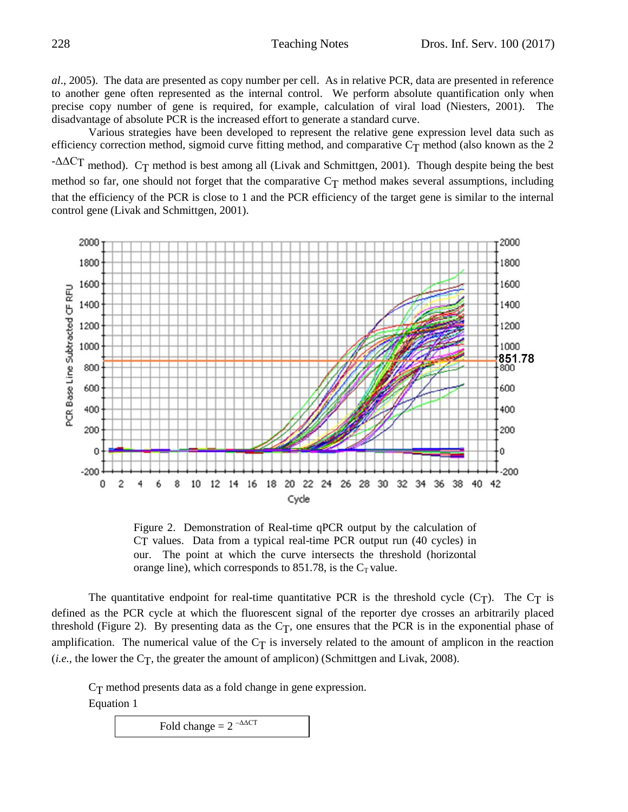*al*., 2005). The data are presented as copy number per cell. As in relative PCR, data are presented in reference to another gene often represented as the internal control. We perform absolute quantification only when precise copy number of gene is required, for example, calculation of viral load (Niesters, 2001). The disadvantage of absolute PCR is the increased effort to generate a standard curve.

Various strategies have been developed to represent the relative gene expression level data such as efficiency correction method, sigmoid curve fitting method, and comparative  $C_T$  method (also known as the 2 - $\Delta \Delta CT$  method). C<sub>T</sub> method is best among all (Livak and Schmittgen, 2001). Though despite being the best method so far, one should not forget that the comparative  $C_T$  method makes several assumptions, including that the efficiency of the PCR is close to 1 and the PCR efficiency of the target gene is similar to the internal control gene (Livak and Schmittgen, 2001).



Figure 2. Demonstration of Real-time qPCR output by the calculation of CT values. Data from a typical real-time PCR output run (40 cycles) in our. The point at which the curve intersects the threshold (horizontal orange line), which corresponds to 851.78, is the  $C_T$  value.

The quantitative endpoint for real-time quantitative PCR is the threshold cycle  $(C_T)$ . The  $C_T$  is defined as the PCR cycle at which the fluorescent signal of the reporter dye crosses an arbitrarily placed threshold (Figure 2). By presenting data as the  $C_T$ , one ensures that the PCR is in the exponential phase of amplification. The numerical value of the  $C_T$  is inversely related to the amount of amplicon in the reaction  $(i.e.,$  the lower the C<sub>T</sub>, the greater the amount of amplicon) (Schmittgen and Livak, 2008).

CT method presents data as a fold change in gene expression. Equation 1

Fold change  $= 2 - \Delta \Delta CT$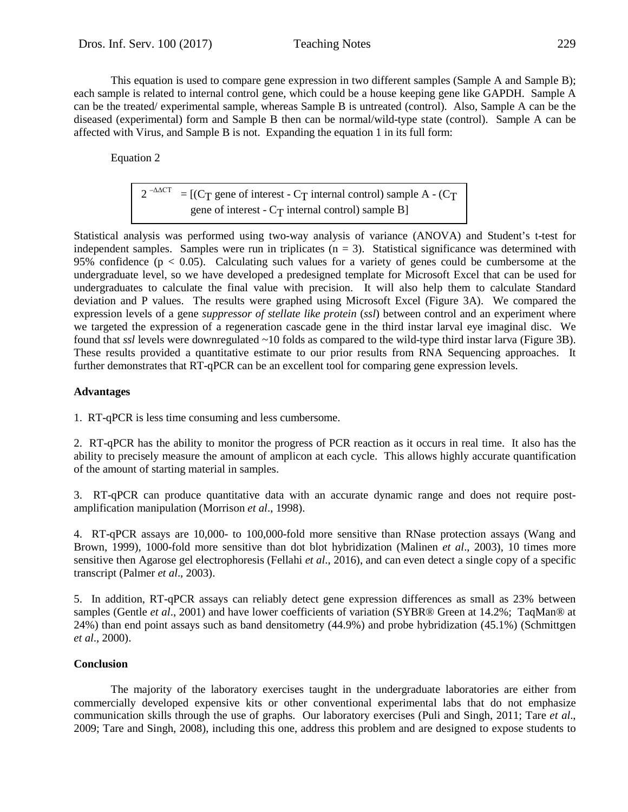This equation is used to compare gene expression in two different samples (Sample A and Sample B); each sample is related to internal control gene, which could be a house keeping gene like GAPDH. Sample A can be the treated/ experimental sample, whereas Sample B is untreated (control). Also, Sample A can be the diseased (experimental) form and Sample B then can be normal/wild-type state (control). Sample A can be affected with Virus, and Sample B is not. Expanding the equation 1 in its full form:

Equation 2

$$
2^{-\Delta\Delta CT}
$$
 = [(C<sub>T</sub> gene of interest - C<sub>T</sub> internal control) sample A - (C<sub>T</sub>  
gene of interest - C<sub>T</sub> internal control) sample B]

Statistical analysis was performed using two-way analysis of variance (ANOVA) and Student's t-test for independent samples. Samples were run in triplicates  $(n = 3)$ . Statistical significance was determined with 95% confidence ( $p < 0.05$ ). Calculating such values for a variety of genes could be cumbersome at the undergraduate level, so we have developed a predesigned template for Microsoft Excel that can be used for undergraduates to calculate the final value with precision. It will also help them to calculate Standard deviation and P values. The results were graphed using Microsoft Excel (Figure 3A). We compared the expression levels of a gene *suppressor of stellate like protein* (*ssl*) between control and an experiment where we targeted the expression of a regeneration cascade gene in the third instar larval eye imaginal disc. We found that *ssl* levels were downregulated ~10 folds as compared to the wild-type third instar larva (Figure 3B). These results provided a quantitative estimate to our prior results from RNA Sequencing approaches. It further demonstrates that RT-qPCR can be an excellent tool for comparing gene expression levels.

### **Advantages**

1. RT-qPCR is less time consuming and less cumbersome.

2. RT-qPCR has the ability to monitor the progress of PCR reaction as it occurs in real time. It also has the ability to precisely measure the amount of amplicon at each cycle. This allows highly accurate quantification of the amount of starting material in samples.

3. RT-qPCR can produce quantitative data with an accurate dynamic range and does not require postamplification manipulation (Morrison *et al*., 1998).

4. RT-qPCR assays are 10,000- to 100,000-fold more sensitive than RNase protection assays (Wang and Brown, 1999), 1000-fold more sensitive than dot blot hybridization (Malinen *et al*., 2003), 10 times more sensitive then Agarose gel electrophoresis (Fellahi *et al*., 2016), and can even detect a single copy of a specific transcript (Palmer *et al*., 2003).

5. In addition, RT-qPCR assays can reliably detect gene expression differences as small as 23% between samples (Gentle *et al*., 2001) and have lower coefficients of variation (SYBR® Green at 14.2%; TaqMan® at 24%) than end point assays such as band densitometry (44.9%) and probe hybridization (45.1%) (Schmittgen *et al*., 2000).

#### **Conclusion**

The majority of the laboratory exercises taught in the undergraduate laboratories are either from commercially developed expensive kits or other conventional experimental labs that do not emphasize communication skills through the use of graphs. Our laboratory exercises (Puli and Singh, 2011; Tare *et al*., 2009; Tare and Singh, 2008), including this one, address this problem and are designed to expose students to